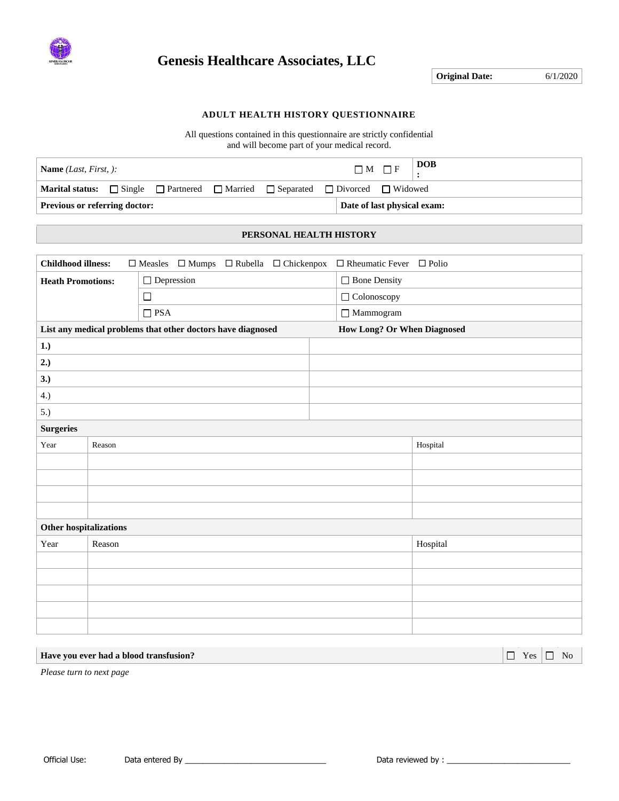

## **Genesis Healthcare Associates, LLC**

**Original Date:** 6/1/2020

### **ADULT HEALTH HISTORY QUESTIONNAIRE**

All questions contained in this questionnaire are strictly confidential and will become part of your medical record.

| <b>Name</b> <i>(Last, First, ):</i>                                                               |  |  |  |                             | $\Box M \Box F$ | <b>DOB</b> |
|---------------------------------------------------------------------------------------------------|--|--|--|-----------------------------|-----------------|------------|
| <b>Marital status:</b> Single <b>Partnered Married</b> Separated <b>P</b> Divorced <b>Nidowed</b> |  |  |  |                             |                 |            |
| <b>Previous or referring doctor:</b>                                                              |  |  |  | Date of last physical exam: |                 |            |

### **PERSONAL HEALTH HISTORY**

| <b>Childhood illness:</b><br>$\Box$ Mumps $\Box$ Rubella $\Box$ Chickenpox<br>$\Box$ Rheumatic Fever $\Box$ Polio<br>$\Box$ Measles |        |                                                             |  |                             |          |  |  |
|-------------------------------------------------------------------------------------------------------------------------------------|--------|-------------------------------------------------------------|--|-----------------------------|----------|--|--|
| <b>Heath Promotions:</b>                                                                                                            |        | $\Box$ Depression                                           |  | $\Box$ Bone Density         |          |  |  |
|                                                                                                                                     |        | $\Box$                                                      |  | $\Box$ Colonoscopy          |          |  |  |
|                                                                                                                                     |        | $\Box$ PSA                                                  |  | $\hfill\Box$ Mammogram      |          |  |  |
|                                                                                                                                     |        | List any medical problems that other doctors have diagnosed |  | How Long? Or When Diagnosed |          |  |  |
| 1.)                                                                                                                                 |        |                                                             |  |                             |          |  |  |
| 2.)                                                                                                                                 |        |                                                             |  |                             |          |  |  |
| 3.)                                                                                                                                 |        |                                                             |  |                             |          |  |  |
| 4.)                                                                                                                                 |        |                                                             |  |                             |          |  |  |
| 5.)                                                                                                                                 |        |                                                             |  |                             |          |  |  |
| <b>Surgeries</b>                                                                                                                    |        |                                                             |  |                             |          |  |  |
| Year                                                                                                                                | Reason |                                                             |  |                             | Hospital |  |  |
|                                                                                                                                     |        |                                                             |  |                             |          |  |  |
|                                                                                                                                     |        |                                                             |  |                             |          |  |  |
|                                                                                                                                     |        |                                                             |  |                             |          |  |  |
|                                                                                                                                     |        |                                                             |  |                             |          |  |  |
| Other hospitalizations                                                                                                              |        |                                                             |  |                             |          |  |  |
| Year                                                                                                                                | Reason |                                                             |  |                             | Hospital |  |  |
|                                                                                                                                     |        |                                                             |  |                             |          |  |  |
|                                                                                                                                     |        |                                                             |  |                             |          |  |  |
|                                                                                                                                     |        |                                                             |  |                             |          |  |  |
|                                                                                                                                     |        |                                                             |  |                             |          |  |  |
|                                                                                                                                     |        |                                                             |  |                             |          |  |  |
|                                                                                                                                     |        |                                                             |  |                             |          |  |  |

#### **Have you ever had a blood transfusion?** The second second second second second second second second second second second second second second second second second second second second second second second second second se

*Please turn to next page*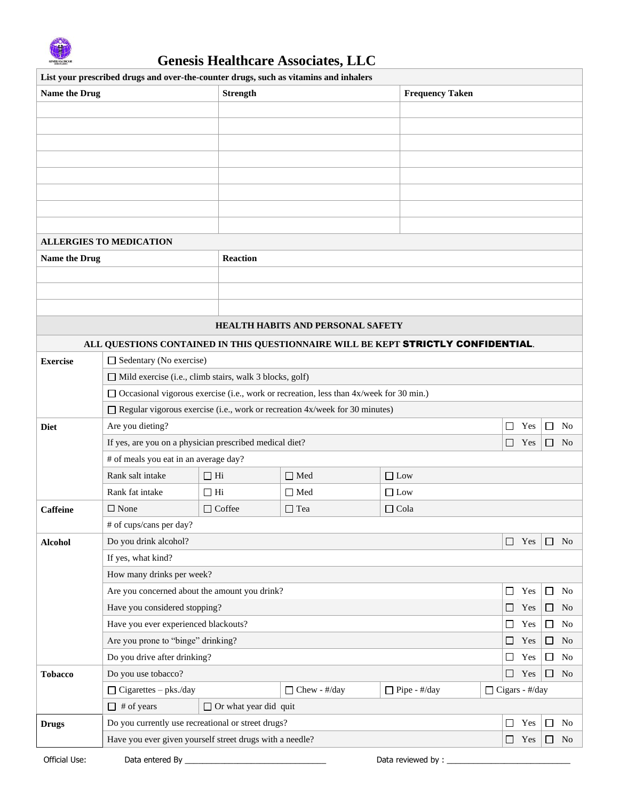

| List your prescribed drugs and over-the-counter drugs, such as vitamins and inhalers |                                                                                   |                              |                                                                                          |                        |                  |               |  |        |                |
|--------------------------------------------------------------------------------------|-----------------------------------------------------------------------------------|------------------------------|------------------------------------------------------------------------------------------|------------------------|------------------|---------------|--|--------|----------------|
| Name the Drug                                                                        |                                                                                   | <b>Strength</b>              |                                                                                          | <b>Frequency Taken</b> |                  |               |  |        |                |
|                                                                                      |                                                                                   |                              |                                                                                          |                        |                  |               |  |        |                |
|                                                                                      |                                                                                   |                              |                                                                                          |                        |                  |               |  |        |                |
|                                                                                      |                                                                                   |                              |                                                                                          |                        |                  |               |  |        |                |
|                                                                                      |                                                                                   |                              |                                                                                          |                        |                  |               |  |        |                |
|                                                                                      |                                                                                   |                              |                                                                                          |                        |                  |               |  |        |                |
|                                                                                      |                                                                                   |                              |                                                                                          |                        |                  |               |  |        |                |
|                                                                                      |                                                                                   |                              |                                                                                          |                        |                  |               |  |        |                |
|                                                                                      |                                                                                   |                              |                                                                                          |                        |                  |               |  |        |                |
|                                                                                      | <b>ALLERGIES TO MEDICATION</b>                                                    |                              |                                                                                          |                        |                  |               |  |        |                |
| Name the Drug                                                                        |                                                                                   | <b>Reaction</b>              |                                                                                          |                        |                  |               |  |        |                |
|                                                                                      |                                                                                   |                              |                                                                                          |                        |                  |               |  |        |                |
|                                                                                      |                                                                                   |                              |                                                                                          |                        |                  |               |  |        |                |
|                                                                                      |                                                                                   |                              |                                                                                          |                        |                  |               |  |        |                |
|                                                                                      |                                                                                   |                              | <b>HEALTH HABITS AND PERSONAL SAFETY</b>                                                 |                        |                  |               |  |        |                |
|                                                                                      | ALL QUESTIONS CONTAINED IN THIS QUESTIONNAIRE WILL BE KEPT STRICTLY CONFIDENTIAL. |                              |                                                                                          |                        |                  |               |  |        |                |
| <b>Exercise</b>                                                                      | Sedentary (No exercise)                                                           |                              |                                                                                          |                        |                  |               |  |        |                |
|                                                                                      | $\Box$ Mild exercise (i.e., climb stairs, walk 3 blocks, golf)                    |                              |                                                                                          |                        |                  |               |  |        |                |
|                                                                                      |                                                                                   |                              | □ Occasional vigorous exercise (i.e., work or recreation, less than 4x/week for 30 min.) |                        |                  |               |  |        |                |
|                                                                                      |                                                                                   |                              | $\Box$ Regular vigorous exercise (i.e., work or recreation 4x/week for 30 minutes)       |                        |                  |               |  |        |                |
| <b>Diet</b>                                                                          | Are you dieting?<br>Yes<br>$\Box$<br>N <sub>0</sub><br>$\Box$                     |                              |                                                                                          |                        |                  |               |  |        |                |
|                                                                                      | If yes, are you on a physician prescribed medical diet?                           |                              |                                                                                          |                        |                  | $\Box$<br>Yes |  | $\Box$ | N <sub>0</sub> |
|                                                                                      | # of meals you eat in an average day?                                             |                              |                                                                                          |                        |                  |               |  |        |                |
|                                                                                      | Rank salt intake                                                                  | $\Box$ Hi                    | $\Box$ Med                                                                               | $\Box$ Low             |                  |               |  |        |                |
|                                                                                      | Rank fat intake                                                                   | $\Box$<br><br>Hi             | $\Box$ Med                                                                               | $\hfill\Box$<br>Low    |                  |               |  |        |                |
| Caffeine                                                                             | $\Box$ None                                                                       | $\Box$ Coffee                | $\Box$ Tea                                                                               | $\Box$ Cola            |                  |               |  |        |                |
|                                                                                      | # of cups/cans per day?                                                           |                              |                                                                                          |                        |                  |               |  |        |                |
| <b>Alcohol</b>                                                                       | Do you drink alcohol?                                                             |                              |                                                                                          |                        |                  | $\Box$<br>Yes |  | $\Box$ | <b>No</b>      |
|                                                                                      | If yes, what kind?                                                                |                              |                                                                                          |                        |                  |               |  |        |                |
|                                                                                      | How many drinks per week?                                                         |                              |                                                                                          |                        |                  |               |  |        |                |
|                                                                                      | Are you concerned about the amount you drink?                                     |                              |                                                                                          |                        |                  | Yes<br>ப      |  | ப      | No             |
|                                                                                      | Have you considered stopping?                                                     |                              |                                                                                          |                        |                  | $\Box$<br>Yes |  | □      | N <sub>0</sub> |
|                                                                                      | Have you ever experienced blackouts?                                              |                              |                                                                                          |                        |                  | Yes<br>$\Box$ |  | $\Box$ | No             |
|                                                                                      | Are you prone to "binge" drinking?                                                |                              |                                                                                          |                        |                  | Yes<br>$\Box$ |  | □      | No             |
|                                                                                      | Do you drive after drinking?                                                      |                              |                                                                                          |                        |                  | $\Box$<br>Yes |  | □      | No             |
| <b>Tobacco</b>                                                                       | Do you use tobacco?                                                               |                              |                                                                                          |                        |                  | $\Box$<br>Yes |  | □      | No             |
|                                                                                      | $\Box$ Cigarettes – pks./day                                                      |                              | $\Box$ Chew - #/day                                                                      | $\Box$ Pipe - #/day    | □ Cigars - #/day |               |  |        |                |
|                                                                                      | $\Box$ # of years                                                                 | $\Box$ Or what year did quit |                                                                                          |                        |                  |               |  |        |                |
| <b>Drugs</b>                                                                         | Do you currently use recreational or street drugs?                                |                              |                                                                                          |                        |                  | □<br>Yes      |  | □      | No             |
|                                                                                      | Have you ever given yourself street drugs with a needle?                          |                              |                                                                                          |                        |                  | $\Box$<br>Yes |  | ப      | No             |
| Official Use:                                                                        | Data entered By                                                                   |                              |                                                                                          | Data reviewed by:      |                  |               |  |        |                |

 $\overline{\phantom{a}}$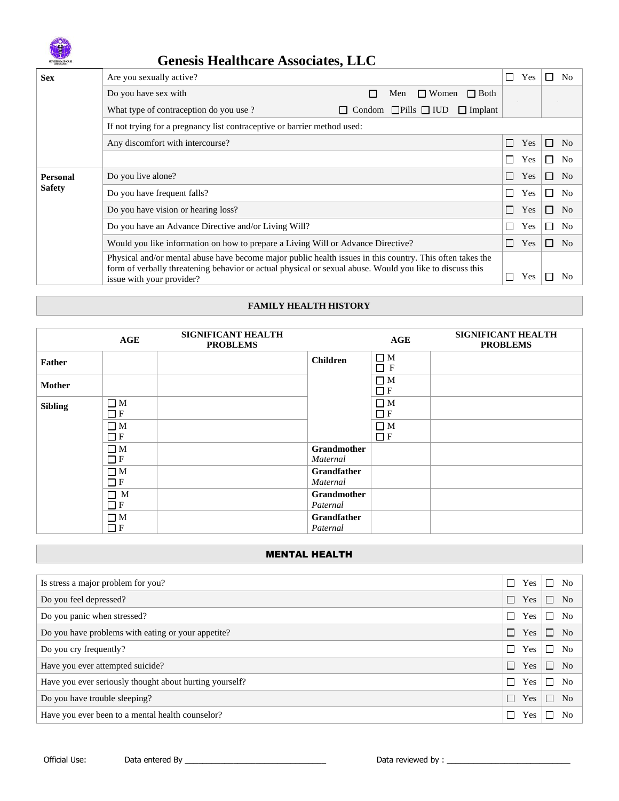

# **Genesis Healthcare Associates, LLC**

| <b>Sex</b>      | Are you sexually active?                                                                                                                                                                                                                           |        |     |                         |                |        | Yes |              | N <sub>0</sub> |
|-----------------|----------------------------------------------------------------------------------------------------------------------------------------------------------------------------------------------------------------------------------------------------|--------|-----|-------------------------|----------------|--------|-----|--------------|----------------|
|                 | Do you have sex with                                                                                                                                                                                                                               |        | Men | $\Box$ Women            | $\Box$ Both    |        |     |              |                |
|                 | What type of contraception do you use?                                                                                                                                                                                                             | Condom |     | $\Box$ Pills $\Box$ IUD | $\Box$ Implant |        |     |              |                |
|                 | If not trying for a pregnancy list contraceptive or barrier method used:                                                                                                                                                                           |        |     |                         |                |        |     |              |                |
|                 | Any discomfort with intercourse?                                                                                                                                                                                                                   |        |     |                         |                | Г      | Yes | $\mathsf{L}$ | N <sub>0</sub> |
|                 |                                                                                                                                                                                                                                                    |        |     |                         |                |        | Yes |              | N <sub>0</sub> |
| <b>Personal</b> | Do you live alone?                                                                                                                                                                                                                                 |        |     |                         |                | $\Box$ | Yes |              | N <sub>o</sub> |
| <b>Safety</b>   | Do you have frequent falls?                                                                                                                                                                                                                        |        |     |                         |                |        |     |              | No             |
|                 | Do you have vision or hearing loss?                                                                                                                                                                                                                |        |     |                         |                |        | Yes |              | N <sub>o</sub> |
|                 | Do you have an Advance Directive and/or Living Will?                                                                                                                                                                                               |        |     |                         |                |        | Yes |              | N <sub>o</sub> |
|                 | Would you like information on how to prepare a Living Will or Advance Directive?                                                                                                                                                                   |        |     |                         |                |        | Yes | $\Box$       | N <sub>o</sub> |
|                 | Physical and/or mental abuse have become major public health issues in this country. This often takes the<br>form of verbally threatening behavior or actual physical or sexual abuse. Would you like to discuss this<br>issue with your provider? |        |     |                         |                |        | Yes |              | No             |

### **FAMILY HEALTH HISTORY**

|                | AGE                     | <b>SIGNIFICANT HEALTH</b><br><b>PROBLEMS</b> |                                | AGE                  | <b>SIGNIFICANT HEALTH</b><br><b>PROBLEMS</b> |
|----------------|-------------------------|----------------------------------------------|--------------------------------|----------------------|----------------------------------------------|
| <b>Father</b>  |                         |                                              | <b>Children</b>                | $\Box$ M<br>$\Box$ F |                                              |
| <b>Mother</b>  |                         |                                              |                                | $\Box$ M<br>$\Box$ F |                                              |
| <b>Sibling</b> | $\Box$ M<br>$\Box F$    |                                              |                                | $\Box$ M<br>$\Box$ F |                                              |
|                | $\Box$ M<br>$\Box F$    |                                              |                                | $\Box$ M<br>$\Box$ F |                                              |
|                | $\Box$ M<br>$\Box F$    |                                              | <b>Grandmother</b><br>Maternal |                      |                                              |
|                | $\square$ M<br>$\Box$ F |                                              | Grandfather<br>Maternal        |                      |                                              |
|                | $\Box$ M<br>$\Box F$    |                                              | Grandmother<br>Paternal        |                      |                                              |
|                | $\Box$ M<br>$\Box$ F    |                                              | Grandfather<br>Paternal        |                      |                                              |

### MENTAL HEALTH

| ⊣                        | Yes | П  | N <sub>0</sub> |
|--------------------------|-----|----|----------------|
| $\blacksquare$           | Yes | П  | No.            |
| $\overline{\phantom{a}}$ | Yes | П  | N <sub>0</sub> |
| ┓                        | Yes | П  | No             |
| $\overline{\phantom{a}}$ | Yes | □  | N <sub>0</sub> |
| $\blacksquare$           | Yes | П  | No             |
| $\overline{\phantom{a}}$ | Yes | П  | No             |
| $\blacksquare$           | Yes | П  | N <sub>o</sub> |
| $\overline{\phantom{a}}$ | Yes | ΙI | No             |
|                          |     |    |                |